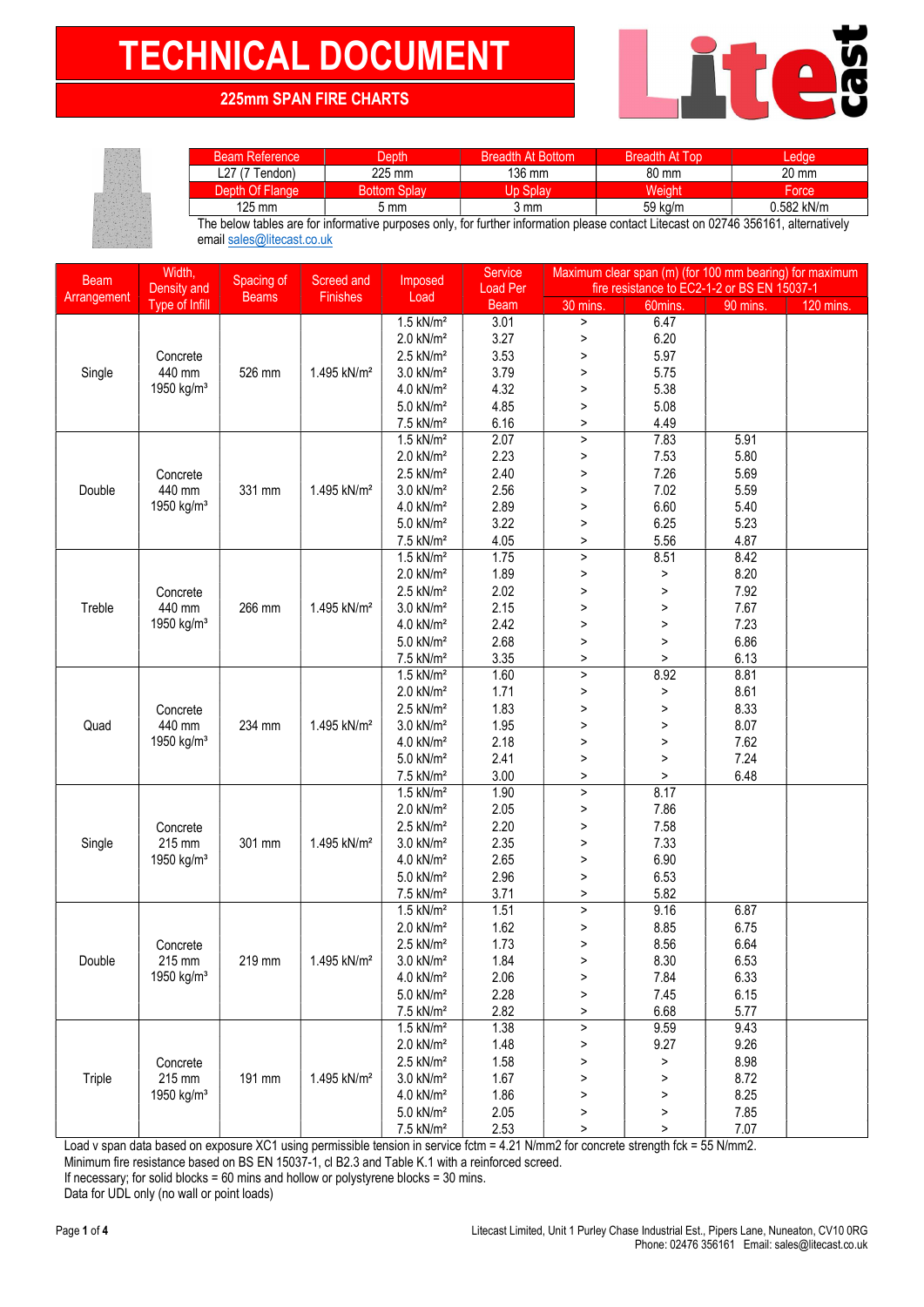## TECHNICAL DOCUMENT NEWSFILM

## 225mm SPAN FIRE CHARTS

| <b>Beam Reference</b> | Depth               | <b>Breadth At Bottom</b>    | <b>Breadth At Top</b> | edae       |
|-----------------------|---------------------|-----------------------------|-----------------------|------------|
| L27 (7 Tendon)        | 225 mm              | 136 mm                      | 80 mm                 | 20 mm      |
| Depth Of Flange       | <b>Bottom Splav</b> | $\sqrt{ln^{\circ}$<br>Splay | Weiaht                | Force      |
| 125 mm                | 5 mm                | 3 mm                        | 59 kg/m               | 0.582 kN/m |

The below tables are for informative purposes only, for further information please contact Litecast on 02746 356161, alternatively email sales@litecast.co.uk

| <b>Beam</b>            | Width,                 | Spacing of   | Screed and              | Service<br>Imposed                        |                 | Maximum clear span (m) (for 100 mm bearing) for maximum<br>fire resistance to EC2-1-2 or BS EN 15037-1 |                |          |           |
|------------------------|------------------------|--------------|-------------------------|-------------------------------------------|-----------------|--------------------------------------------------------------------------------------------------------|----------------|----------|-----------|
| Arrangement            | Density and            | <b>Beams</b> | Finishes                | Load                                      | <b>Load Per</b> |                                                                                                        |                |          |           |
|                        | Type of Infill         |              |                         |                                           | <b>Beam</b>     | 30 mins.                                                                                               | 60mins.        | 90 mins. | 120 mins. |
|                        |                        |              | $1.5$ kN/m <sup>2</sup> | 3.01                                      | $\, >$          | 6.47                                                                                                   |                |          |           |
|                        |                        |              |                         | $2.0$ kN/ $m2$                            | 3.27            | $\,>$                                                                                                  | 6.20           |          |           |
|                        | Concrete               |              |                         | $2.5$ kN/m <sup>2</sup>                   | 3.53            | $\, >$                                                                                                 | 5.97           |          |           |
| Single                 | 440 mm                 | 526 mm       | 1.495 kN/m <sup>2</sup> | $3.0$ kN/ $m2$                            | 3.79            | $\, >$                                                                                                 | 5.75           |          |           |
|                        | 1950 kg/m <sup>3</sup> |              |                         | 4.0 kN/m <sup>2</sup>                     | 4.32            | $\, > \,$                                                                                              | 5.38           |          |           |
|                        |                        |              |                         | $5.0$ kN/ $m2$                            | 4.85            | $\, > \,$                                                                                              | 5.08           |          |           |
|                        |                        |              |                         | 7.5 kN/m <sup>2</sup>                     | 6.16            | $\, >$                                                                                                 | 4.49           |          |           |
|                        |                        |              |                         | $1.5$ kN/m <sup>2</sup>                   | 2.07            | $\, >$                                                                                                 | 7.83           | 5.91     |           |
|                        |                        |              | 2.0 kN/m <sup>2</sup>   | 2.23                                      | $\, >$          | 7.53                                                                                                   | 5.80           |          |           |
|                        | Concrete               |              |                         | $2.5$ kN/ $m2$                            | 2.40            | $\, > \,$                                                                                              | 7.26           | 5.69     |           |
| Double                 | 440 mm                 | 331 mm       | 1.495 kN/m <sup>2</sup> | $3.0$ kN/ $m2$                            | 2.56            | $\, > \,$                                                                                              | 7.02           | 5.59     |           |
|                        | 1950 kg/m <sup>3</sup> |              |                         | 4.0 kN/m <sup>2</sup>                     | 2.89            | $\, > \,$                                                                                              | 6.60           | 5.40     |           |
|                        |                        |              |                         | 5.0 kN/m <sup>2</sup>                     | 3.22            | $\, >$                                                                                                 | 6.25           | 5.23     |           |
|                        |                        |              |                         | 7.5 kN/m <sup>2</sup>                     | 4.05            | >                                                                                                      | 5.56           | 4.87     |           |
|                        |                        |              |                         | $1.5$ kN/m <sup>2</sup>                   | 1.75            | $\geq$                                                                                                 | 8.51           | 8.42     |           |
|                        |                        |              |                         | $2.0$ kN/ $m2$                            | 1.89            | $\, > \,$                                                                                              | $\, >$         | 8.20     |           |
|                        | Concrete               |              |                         | $2.5$ kN/m <sup>2</sup>                   | 2.02            | $\, >$                                                                                                 | $\, >$         | 7.92     |           |
| Treble                 | 440 mm                 | 266 mm       | 1.495 kN/m <sup>2</sup> | 3.0 kN/m <sup>2</sup>                     | 2.15            | $\, >$                                                                                                 | $\, >$         | 7.67     |           |
|                        | 1950 kg/m <sup>3</sup> |              |                         | 4.0 kN/m <sup>2</sup>                     | 2.42            | $\, >$                                                                                                 | $\, >$         | 7.23     |           |
|                        |                        |              | 5.0 kN/m <sup>2</sup>   | 2.68                                      | $\, > \,$       | $\, >$                                                                                                 | 6.86           |          |           |
|                        |                        |              |                         | 7.5 kN/m <sup>2</sup>                     | 3.35            | $\, >$                                                                                                 | $\, >$         | 6.13     |           |
|                        |                        |              |                         | $1.5$ kN/m <sup>2</sup>                   | 1.60            | $\geq$                                                                                                 | 8.92           | 8.81     |           |
|                        |                        |              |                         | 2.0 kN/m <sup>2</sup>                     | 1.71            | $\, >$                                                                                                 | $\, >$         | 8.61     |           |
|                        | Concrete               |              |                         | $2.5$ kN/m <sup>2</sup>                   | 1.83            | $\, >$                                                                                                 | $\, >$         | 8.33     |           |
| Quad                   | 440 mm                 | 234 mm       | 1.495 kN/m <sup>2</sup> | $3.0$ kN/ $m2$                            | 1.95            | $\, > \,$                                                                                              | $\, >$         | 8.07     |           |
| 1950 kg/m <sup>3</sup> |                        |              | $4.0$ kN/ $m2$          | 2.18                                      | $\, > \,$       | $\, >$                                                                                                 | 7.62           |          |           |
|                        |                        |              | 5.0 kN/m <sup>2</sup>   | 2.41                                      | $\,>\,$         | $\, >$                                                                                                 | 7.24           |          |           |
|                        |                        |              |                         | 7.5 kN/m <sup>2</sup>                     | 3.00<br>1.90    | $\, > \,$                                                                                              | $\, >$<br>8.17 | 6.48     |           |
|                        |                        |              | $1.5$ kN/m <sup>2</sup> | 2.05                                      | $\, >$<br>$\,>$ | 7.86                                                                                                   |                |          |           |
|                        |                        | 301 mm       |                         | $2.0$ kN/ $m2$                            | 2.20            |                                                                                                        | 7.58           |          |           |
|                        | Concrete<br>215 mm     |              |                         | $2.5$ kN/m <sup>2</sup><br>$3.0$ kN/ $m2$ | 2.35            | $\, > \,$                                                                                              | 7.33           |          |           |
| Single                 | 1950 kg/m <sup>3</sup> |              | 1.495 kN/m <sup>2</sup> | $4.0$ kN/ $m2$                            | 2.65            | ><br>$\, > \,$                                                                                         | 6.90           |          |           |
|                        |                        |              |                         | 5.0 kN/m <sup>2</sup>                     | 2.96            | $\, > \,$                                                                                              | 6.53           |          |           |
|                        |                        |              |                         | 7.5 kN/m <sup>2</sup>                     | 3.71            | $\, >$                                                                                                 | 5.82           |          |           |
|                        |                        |              |                         | $1.5$ kN/m <sup>2</sup>                   | 1.51            | $\geq$                                                                                                 | 9.16           | 6.87     |           |
|                        |                        |              |                         | $2.0$ kN/ $m2$                            | 1.62            | >                                                                                                      | 8.85           | 6.75     |           |
|                        | Concrete               |              |                         | $2.5$ kN/m <sup>2</sup>                   | 1.73            | $\,>\,$                                                                                                | 8.56           | 6.64     |           |
| Double                 | 215 mm                 | 219 mm       | 1.495 kN/m <sup>2</sup> | 3.0 kN/m <sup>2</sup>                     | 1.84            | >                                                                                                      | 8.30           | 6.53     |           |
|                        | 1950 kg/m <sup>3</sup> |              |                         | 4.0 kN/m <sup>2</sup>                     | 2.06            | $\, >$                                                                                                 | 7.84           | 6.33     |           |
|                        |                        |              |                         | 5.0 kN/m <sup>2</sup>                     | 2.28            | $\, >$                                                                                                 | 7.45           | 6.15     |           |
|                        |                        |              |                         | 7.5 kN/m <sup>2</sup>                     | 2.82            | >                                                                                                      | 6.68           | 5.77     |           |
|                        |                        |              |                         | $1.5$ kN/m <sup>2</sup>                   | 1.38            | $\, >$                                                                                                 | 9.59           | 9.43     |           |
|                        |                        |              |                         | $2.0$ kN/m <sup>2</sup>                   | 1.48            | $\, > \,$                                                                                              | 9.27           | 9.26     |           |
|                        | Concrete               |              |                         | $2.5$ kN/m <sup>2</sup>                   | 1.58            | $\, >$                                                                                                 | $\,$           | 8.98     |           |
| Triple                 | 215 mm                 | 191 mm       | 1.495 kN/m <sup>2</sup> | $3.0$ kN/ $m2$                            | 1.67            | >                                                                                                      | $\, >$         | 8.72     |           |
|                        | 1950 kg/m <sup>3</sup> |              |                         | $4.0$ kN/ $m2$                            | 1.86            | >                                                                                                      | $\, >$         | 8.25     |           |
|                        |                        |              |                         | 5.0 kN/m <sup>2</sup>                     | 2.05            | >                                                                                                      | >              | 7.85     |           |
|                        |                        |              |                         | 7.5 kN/m <sup>2</sup>                     | 2.53            | $\mathbf{L}$                                                                                           | $\, >$         | 7.07     |           |

Load v span data based on exposure XC1 using permissible tension in service fctm = 4.21 N/mm2 for concrete strength fck = 55 N/mm2.

Minimum fire resistance based on BS EN 15037-1, cl B2.3 and Table K.1 with a reinforced screed.

If necessary; for solid blocks = 60 mins and hollow or polystyrene blocks = 30 mins.

Data for UDL only (no wall or point loads)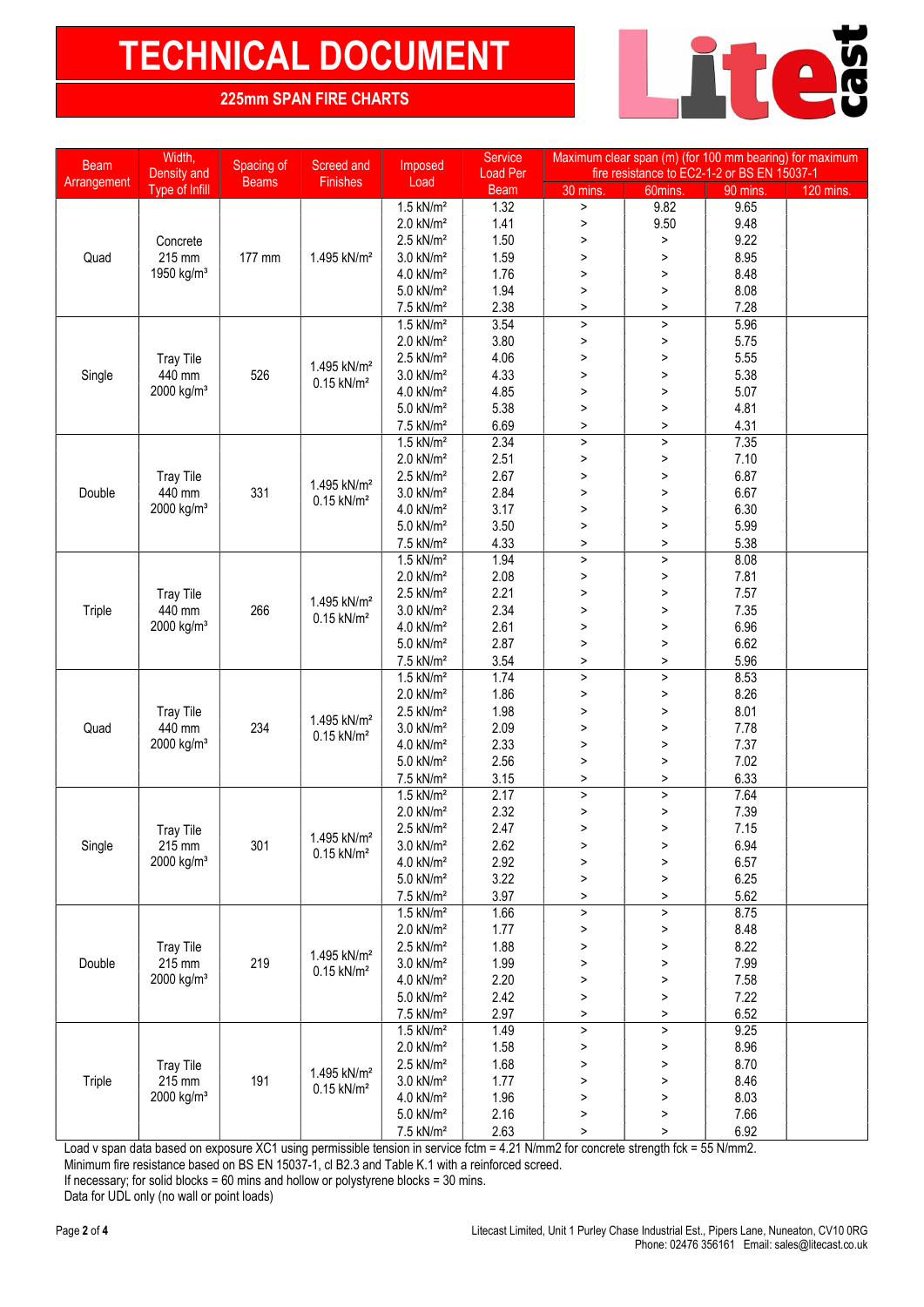# TECHNICAL DOCUMENT NEWS AND THE CHARTS

### 225mm SPAN FIRE CHARTS

| <b>Beam</b>      | Width,<br>Density and      | Spacing of             | Screed and               | Imposed                 | Service<br>Load Per   | Maximum clear span (m) (for 100 mm bearing) for maximum<br>fire resistance to EC2-1-2 or BS EN 15037-1 |                          |                                                                                                                                                                                                                                                                                                                                                                                      |             |         |        |
|------------------|----------------------------|------------------------|--------------------------|-------------------------|-----------------------|--------------------------------------------------------------------------------------------------------|--------------------------|--------------------------------------------------------------------------------------------------------------------------------------------------------------------------------------------------------------------------------------------------------------------------------------------------------------------------------------------------------------------------------------|-------------|---------|--------|
| Arrangement      | Type of Infill             | <b>Beams</b>           | Finishes                 | Load                    | <b>Beam</b>           | 30 mins.                                                                                               | 60mins.                  | 90 mins.                                                                                                                                                                                                                                                                                                                                                                             | $120$ mins. |         |        |
|                  |                            |                        |                          | $1.5$ kN/m <sup>2</sup> | 1.32                  | $\mathbf{L}$                                                                                           | 9.82                     | 9.65                                                                                                                                                                                                                                                                                                                                                                                 |             |         |        |
|                  |                            |                        |                          | $2.0$ kN/m <sup>2</sup> | 1.41                  | $\, >$                                                                                                 | 9.50                     | 9.48                                                                                                                                                                                                                                                                                                                                                                                 |             |         |        |
|                  | Concrete                   |                        |                          | $2.5$ kN/m <sup>2</sup> | 1.50                  | $\, >$                                                                                                 | $\, >$                   | 9.22                                                                                                                                                                                                                                                                                                                                                                                 |             |         |        |
| Quad             | 215 mm                     | 177 mm                 | 1.495 kN/m <sup>2</sup>  | $3.0$ kN/ $m2$          | 1.59                  | $\, >$                                                                                                 | $\mathbf{L}$             | 8.95                                                                                                                                                                                                                                                                                                                                                                                 |             |         |        |
|                  | 1950 kg/m <sup>3</sup>     |                        |                          | 4.0 kN/m <sup>2</sup>   | 1.76                  | $\mathbf{L}$                                                                                           | $\mathbf{L}$             | 8.48                                                                                                                                                                                                                                                                                                                                                                                 |             |         |        |
|                  |                            |                        |                          | 5.0 kN/m <sup>2</sup>   | 1.94                  | >                                                                                                      | $\,>\,$                  |                                                                                                                                                                                                                                                                                                                                                                                      |             |         |        |
|                  |                            |                        |                          | 7.5 kN/m <sup>2</sup>   | 2.38                  | $\, > \,$                                                                                              | $\,>\,$                  | 7.28                                                                                                                                                                                                                                                                                                                                                                                 |             |         |        |
|                  |                            |                        |                          | $1.5$ kN/m <sup>2</sup> | 3.54                  | $\, >$                                                                                                 | $\, >$                   |                                                                                                                                                                                                                                                                                                                                                                                      |             |         |        |
|                  |                            |                        |                          | $2.0$ kN/ $m2$          | 3.80                  | $\, >$                                                                                                 | $\, >$                   | 5.75                                                                                                                                                                                                                                                                                                                                                                                 |             |         |        |
| <b>Tray Tile</b> |                            |                        | $2.5$ kN/m <sup>2</sup>  | 4.06                    | $\mathbf{L}$          | $\mathbf{L}$                                                                                           | 5.55                     |                                                                                                                                                                                                                                                                                                                                                                                      |             |         |        |
| Single           | 440 mm                     | 526                    | 1.495 kN/m <sup>2</sup>  | $3.0$ kN/ $m2$          | 4.33                  | >                                                                                                      | $\, >$                   | 5.38                                                                                                                                                                                                                                                                                                                                                                                 |             |         |        |
|                  | 2000 kg/m <sup>3</sup>     |                        | $0.15$ kN/m <sup>2</sup> | 4.0 kN/m <sup>2</sup>   | 4.85                  | $\, > \,$                                                                                              | $\,>\,$                  |                                                                                                                                                                                                                                                                                                                                                                                      |             |         |        |
|                  |                            |                        |                          | 5.0 kN/m <sup>2</sup>   | 5.38                  | >                                                                                                      | $\, >$                   |                                                                                                                                                                                                                                                                                                                                                                                      |             |         |        |
|                  |                            |                        |                          | 7.5 kN/m <sup>2</sup>   | 6.69                  | $\mathbf{L}$                                                                                           | $\, >$                   |                                                                                                                                                                                                                                                                                                                                                                                      |             |         |        |
|                  |                            |                        |                          | $1.5$ kN/m <sup>2</sup> | 2.34                  | $\,>\,$                                                                                                | $\, >$                   |                                                                                                                                                                                                                                                                                                                                                                                      |             |         |        |
|                  |                            |                        |                          | $2.0$ kN/ $m2$          | 2.51                  | >                                                                                                      | $\, >$                   | 8.08<br>5.96<br>5.07<br>4.81<br>4.31<br>7.35<br>7.10<br>6.87<br>6.67<br>6.30<br>5.99<br>5.38<br>8.08<br>7.81<br>7.57<br>7.35<br>6.96<br>6.62<br>5.96<br>8.53<br>8.26<br>8.01<br>7.78<br>7.37<br>7.02<br>6.33<br>7.64<br>7.39<br>7.15<br>6.94<br>6.57<br>6.25<br>5.62<br>8.75<br>8.48<br>8.22<br>7.99<br>7.58<br>7.22<br>6.52<br>9.25<br>8.96<br>8.70<br>8.46<br>8.03<br>7.66<br>6.92 |             |         |        |
|                  | <b>Tray Tile</b>           |                        |                          | $2.5$ kN/m <sup>2</sup> | 2.67                  | $\mathbf{L}$                                                                                           | $\, >$                   |                                                                                                                                                                                                                                                                                                                                                                                      |             |         |        |
| Double           | 440 mm                     | 331                    | 1.495 kN/m <sup>2</sup>  | 3.0 kN/m <sup>2</sup>   | 2.84                  | >                                                                                                      | $\, >$                   |                                                                                                                                                                                                                                                                                                                                                                                      |             |         |        |
|                  | 2000 kg/m <sup>3</sup>     |                        | $0.15$ kN/m <sup>2</sup> | $4.0$ kN/ $m2$          | 3.17                  | >                                                                                                      | $\,>\,$                  |                                                                                                                                                                                                                                                                                                                                                                                      |             |         |        |
|                  |                            |                        |                          | 5.0 kN/m <sup>2</sup>   | 3.50                  | $\, >$                                                                                                 | $\, >$                   |                                                                                                                                                                                                                                                                                                                                                                                      |             |         |        |
|                  |                            |                        |                          | 7.5 kN/m <sup>2</sup>   | 4.33                  | $\mathbf{L}$                                                                                           | $\, >$                   |                                                                                                                                                                                                                                                                                                                                                                                      |             |         |        |
|                  |                            |                        |                          | $1.5$ kN/m <sup>2</sup> | 1.94                  | $\,>\,$                                                                                                | $\, >$                   |                                                                                                                                                                                                                                                                                                                                                                                      |             |         |        |
|                  |                            |                        |                          | $2.0$ kN/m <sup>2</sup> | 2.08                  | $\mathbf{L}$                                                                                           | $\, >$                   |                                                                                                                                                                                                                                                                                                                                                                                      |             |         |        |
|                  | <b>Tray Tile</b>           |                        |                          | $2.5$ kN/m <sup>2</sup> | 2.21                  | >                                                                                                      | $\, >$                   |                                                                                                                                                                                                                                                                                                                                                                                      |             |         |        |
| Triple           | 440 mm                     | 266                    | 1.495 kN/m <sup>2</sup>  | $3.0$ kN/ $m2$          | 2.34                  | $\, > \,$                                                                                              | $\, >$                   |                                                                                                                                                                                                                                                                                                                                                                                      |             |         |        |
|                  | 2000 kg/m <sup>3</sup>     |                        | $0.15$ kN/m <sup>2</sup> | $4.0$ kN/ $m2$          | 2.61                  | >                                                                                                      | $\, >$                   |                                                                                                                                                                                                                                                                                                                                                                                      |             |         |        |
|                  |                            |                        |                          | 5.0 kN/m <sup>2</sup>   | 2.87                  | $\mathbf{L}$                                                                                           | $\mathbf{L}$             |                                                                                                                                                                                                                                                                                                                                                                                      |             |         |        |
|                  |                            |                        | 7.5 kN/m <sup>2</sup>    | 3.54                    | $\, > \,$             | $\, >$                                                                                                 |                          |                                                                                                                                                                                                                                                                                                                                                                                      |             |         |        |
|                  |                            |                        |                          | $1.5$ kN/m <sup>2</sup> | 1.74                  | $\,$                                                                                                   | $\, >$                   |                                                                                                                                                                                                                                                                                                                                                                                      |             |         |        |
|                  |                            |                        |                          | $2.0$ kN/ $m2$          | 1.86                  | $\geq$                                                                                                 | $\, >$                   |                                                                                                                                                                                                                                                                                                                                                                                      |             |         |        |
|                  | <b>Tray Tile</b>           |                        |                          | $2.5$ kN/m <sup>2</sup> | 1.98                  | >                                                                                                      | $\, >$                   |                                                                                                                                                                                                                                                                                                                                                                                      |             |         |        |
| Quad             | 440 mm                     | 234                    | 1.495 kN/m <sup>2</sup>  | $3.0$ kN/ $m2$          | 2.09                  | $\mathbf{L}$                                                                                           | $\mathbf{L}$             |                                                                                                                                                                                                                                                                                                                                                                                      |             |         |        |
|                  | 2000 kg/m <sup>3</sup>     |                        | $0.15$ kN/m <sup>2</sup> | 4.0 kN/m <sup>2</sup>   | 2.33                  | >                                                                                                      | $\,>\,$                  |                                                                                                                                                                                                                                                                                                                                                                                      |             |         |        |
|                  |                            |                        |                          | 5.0 kN/m <sup>2</sup>   | 2.56                  | $\, >$                                                                                                 | $\, >$                   |                                                                                                                                                                                                                                                                                                                                                                                      |             |         |        |
|                  |                            |                        |                          | 7.5 kN/m <sup>2</sup>   | 3.15                  | $\geq$                                                                                                 | $\, >$                   |                                                                                                                                                                                                                                                                                                                                                                                      |             |         |        |
|                  |                            |                        |                          | $1.5$ kN/m <sup>2</sup> | 2.17                  | $\,$                                                                                                   | $\, >$                   |                                                                                                                                                                                                                                                                                                                                                                                      |             |         |        |
|                  |                            |                        |                          | $2.0$ kN/ $m2$          | 2.32                  | $\,$                                                                                                   | $\, >$                   |                                                                                                                                                                                                                                                                                                                                                                                      |             |         |        |
|                  |                            |                        |                          | $2.5$ kN/m <sup>2</sup> | 2.47                  | $\, > \,$                                                                                              | $\,>\,$                  |                                                                                                                                                                                                                                                                                                                                                                                      |             |         |        |
| Single           | <b>Tray Tile</b><br>215 mm | 2000 kg/m <sup>3</sup> | 301                      | 1.495 kN/m <sup>2</sup> | 3.0 kN/m <sup>2</sup> | 2.62                                                                                                   | >                        | >                                                                                                                                                                                                                                                                                                                                                                                    |             |         |        |
|                  |                            |                        |                          |                         |                       |                                                                                                        | $0.15$ kN/m <sup>2</sup> | 4.0 kN/m <sup>2</sup>                                                                                                                                                                                                                                                                                                                                                                | 2.92        | $\,>\,$ | $\, >$ |
|                  |                            |                        |                          | 5.0 kN/m <sup>2</sup>   | 3.22                  |                                                                                                        | $\, >$                   |                                                                                                                                                                                                                                                                                                                                                                                      |             |         |        |
|                  |                            |                        |                          | $7.5$ kN/m <sup>2</sup> | 3.97                  | $\, >$<br>>                                                                                            | $\, >$                   |                                                                                                                                                                                                                                                                                                                                                                                      |             |         |        |
|                  |                            |                        |                          | $1.5$ kN/m <sup>2</sup> | 1.66                  | $\, >$                                                                                                 | $\, >$                   |                                                                                                                                                                                                                                                                                                                                                                                      |             |         |        |
|                  |                            |                        |                          | $2.0$ kN/ $m2$          | 1.77                  | >                                                                                                      | $\, >$                   |                                                                                                                                                                                                                                                                                                                                                                                      |             |         |        |
|                  |                            |                        |                          | $2.5$ kN/m <sup>2</sup> | 1.88                  |                                                                                                        | $\, >$                   |                                                                                                                                                                                                                                                                                                                                                                                      |             |         |        |
| Double           | <b>Tray Tile</b><br>215 mm | 219                    | 1.495 kN/m <sup>2</sup>  | 3.0 kN/m <sup>2</sup>   |                       | >                                                                                                      |                          |                                                                                                                                                                                                                                                                                                                                                                                      |             |         |        |
|                  |                            |                        | $0.15$ kN/m <sup>2</sup> |                         | 1.99                  | $\,$                                                                                                   | $\, >$                   |                                                                                                                                                                                                                                                                                                                                                                                      |             |         |        |
|                  | 2000 kg/m <sup>3</sup>     |                        |                          | 4.0 kN/m <sup>2</sup>   | 2.20                  | >                                                                                                      | $\, >$                   |                                                                                                                                                                                                                                                                                                                                                                                      |             |         |        |
|                  |                            |                        |                          | 5.0 kN/m <sup>2</sup>   | 2.42                  | $\, >$                                                                                                 | $\, >$                   |                                                                                                                                                                                                                                                                                                                                                                                      |             |         |        |
|                  |                            |                        |                          | 7.5 kN/m <sup>2</sup>   | 2.97                  | $\, >$                                                                                                 | $\, >$                   |                                                                                                                                                                                                                                                                                                                                                                                      |             |         |        |
|                  |                            |                        |                          | $1.5$ kN/ $m2$          | 1.49                  | $\,$                                                                                                   | $\, >$                   |                                                                                                                                                                                                                                                                                                                                                                                      |             |         |        |
|                  |                            |                        |                          | 2.0 kN/m <sup>2</sup>   | 1.58                  | $\,$                                                                                                   | $\, >$                   |                                                                                                                                                                                                                                                                                                                                                                                      |             |         |        |
|                  | <b>Tray Tile</b>           |                        | 1.495 kN/m <sup>2</sup>  | $2.5$ kN/m <sup>2</sup> | 1.68                  | >                                                                                                      | $\, >$                   |                                                                                                                                                                                                                                                                                                                                                                                      |             |         |        |
| Triple           | 215 mm                     | 191                    | $0.15$ kN/m <sup>2</sup> | 3.0 kN/m <sup>2</sup>   | 1.77                  | $\,>\,$                                                                                                | $\, >$                   |                                                                                                                                                                                                                                                                                                                                                                                      |             |         |        |
|                  | 2000 kg/m <sup>3</sup>     |                        |                          | 4.0 kN/m <sup>2</sup>   | 1.96                  | >                                                                                                      | >                        |                                                                                                                                                                                                                                                                                                                                                                                      |             |         |        |
|                  |                            |                        |                          | 5.0 kN/m <sup>2</sup>   | 2.16                  | >                                                                                                      | >                        |                                                                                                                                                                                                                                                                                                                                                                                      |             |         |        |
|                  |                            |                        |                          | 7.5 kN/m <sup>2</sup>   | 2.63                  | >                                                                                                      | >                        |                                                                                                                                                                                                                                                                                                                                                                                      |             |         |        |

Load v span data based on exposure XC1 using permissible tension in service fctm = 4.21 N/mm2 for concrete strength fck = 55 N/mm2.

Minimum fire resistance based on BS EN 15037-1, cl B2.3 and Table K.1 with a reinforced screed.

If necessary; for solid blocks =  $60$  mins and hollow or polystyrene blocks =  $30$  mins.

Data for UDL only (no wall or point loads)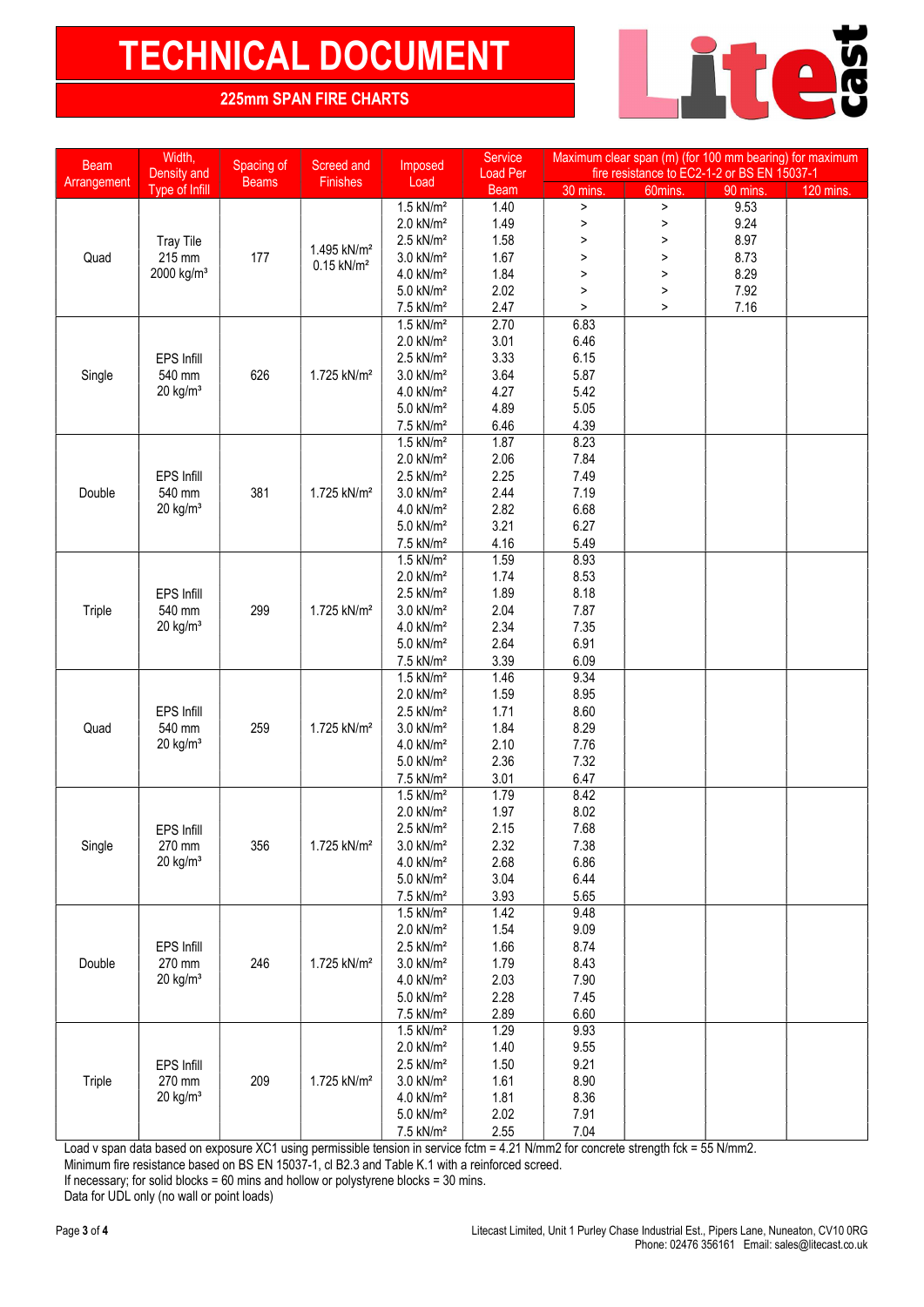# TECHNICAL DOCUMENT NEWS AND THE CHARTS

### 225mm SPAN FIRE CHARTS

| <b>Beam</b><br>Arrangement | Width,<br>Density and            | Spacing of<br><b>Beams</b> | Screed and<br>Finishes   | Imposed<br>Load                                    | <b>Service</b><br><b>Load Per</b> | Maximum clear span (m) (for 100 mm bearing) for maximum<br>fire resistance to EC2-1-2 or BS EN 15037-1 |         |                                                                  |           |
|----------------------------|----------------------------------|----------------------------|--------------------------|----------------------------------------------------|-----------------------------------|--------------------------------------------------------------------------------------------------------|---------|------------------------------------------------------------------|-----------|
|                            | Type of Infill                   |                            |                          |                                                    | <b>Beam</b>                       | 30 mins.                                                                                               | 60mins. |                                                                  | 120 mins. |
|                            |                                  |                            |                          | $1.5$ kN/m <sup>2</sup>                            | 1.40                              | $\,$                                                                                                   | $\,$    |                                                                  |           |
|                            |                                  |                            |                          | $2.0$ kN/m <sup>2</sup>                            | 1.49                              | $\, >$                                                                                                 | $\,$    |                                                                  |           |
|                            | <b>Tray Tile</b>                 |                            | 1.495 kN/m <sup>2</sup>  | $2.5$ kN/m <sup>2</sup>                            | 1.58                              | $\,>\,$                                                                                                | $\,$    |                                                                  |           |
| Quad                       | 215 mm                           | 177                        | $0.15$ kN/m <sup>2</sup> | 3.0 kN/m <sup>2</sup>                              | 1.67                              | $\, > \,$                                                                                              | >       |                                                                  |           |
|                            | 2000 kg/m <sup>3</sup>           |                            |                          | 4.0 kN/m <sup>2</sup>                              | 1.84                              | $\, >$                                                                                                 | $\, >$  |                                                                  |           |
|                            |                                  |                            |                          | 5.0 kN/m <sup>2</sup>                              | 2.02                              | $\, >$                                                                                                 | $\,$    |                                                                  |           |
|                            |                                  |                            |                          | 7.5 kN/m <sup>2</sup>                              | 2.47                              | $\mathbf{L}$                                                                                           | $\,>\,$ |                                                                  |           |
|                            |                                  |                            |                          | $1.5$ kN/m <sup>2</sup>                            | 2.70                              | 6.83                                                                                                   |         |                                                                  |           |
|                            |                                  |                            |                          | $2.0$ kN/ $m2$                                     | 3.01                              | 6.46                                                                                                   |         |                                                                  |           |
|                            | EPS Infill                       |                            |                          | $2.5$ kN/m <sup>2</sup>                            | 3.33                              | 6.15                                                                                                   |         |                                                                  |           |
| Single                     | 540 mm                           | 626                        | 1.725 kN/m <sup>2</sup>  | 3.0 kN/m <sup>2</sup>                              | 3.64                              | 5.87                                                                                                   |         |                                                                  |           |
|                            | $20$ kg/m <sup>3</sup>           |                            |                          | $4.0$ kN/ $m2$                                     | 4.27                              | 5.42                                                                                                   |         |                                                                  |           |
|                            |                                  |                            |                          | 5.0 kN/m <sup>2</sup>                              | 4.89                              | 5.05                                                                                                   |         |                                                                  |           |
|                            |                                  |                            |                          | 7.5 kN/m <sup>2</sup>                              | 6.46                              | 4.39                                                                                                   |         | 90 mins.<br>9.53<br>9.24<br>8.97<br>8.73<br>8.29<br>7.92<br>7.16 |           |
|                            |                                  |                            |                          | $1.5$ kN/m <sup>2</sup>                            | 1.87                              | 8.23                                                                                                   |         |                                                                  |           |
|                            |                                  |                            |                          | 2.0 kN/m <sup>2</sup>                              | 2.06                              | 7.84                                                                                                   |         |                                                                  |           |
|                            | EPS Infill                       |                            |                          | $2.5$ kN/m <sup>2</sup>                            | 2.25                              | 7.49                                                                                                   |         |                                                                  |           |
| Double                     | 540 mm                           | 381                        | 1.725 kN/m <sup>2</sup>  | $3.0$ kN/ $m2$                                     | 2.44                              | 7.19                                                                                                   |         |                                                                  |           |
|                            | $20$ kg/m <sup>3</sup>           |                            |                          | $4.0$ kN/ $m2$                                     | 2.82                              | 6.68                                                                                                   |         |                                                                  |           |
|                            |                                  |                            |                          | 5.0 kN/m <sup>2</sup>                              | 3.21                              | 6.27                                                                                                   |         |                                                                  |           |
|                            |                                  |                            |                          | 7.5 kN/m <sup>2</sup>                              | 4.16                              | 5.49                                                                                                   |         |                                                                  |           |
|                            |                                  |                            |                          | $1.5$ kN/m <sup>2</sup>                            | 1.59                              | 8.93                                                                                                   |         |                                                                  |           |
|                            |                                  |                            |                          | $2.0$ kN/m <sup>2</sup>                            | 1.74                              | 8.53                                                                                                   |         |                                                                  |           |
|                            | <b>EPS Infill</b>                |                            |                          | $2.5$ kN/ $m2$                                     | 1.89                              | 8.18                                                                                                   |         |                                                                  |           |
| Triple                     | 540 mm                           | 299                        | 1.725 kN/m <sup>2</sup>  | $3.0$ kN/ $m2$                                     | 2.04                              | 7.87                                                                                                   |         |                                                                  |           |
|                            |                                  |                            |                          | $4.0$ kN/ $m2$                                     | 2.34                              | 7.35                                                                                                   |         |                                                                  |           |
|                            | $20$ kg/m <sup>3</sup>           |                            |                          | 5.0 kN/m <sup>2</sup>                              | 2.64                              | 6.91                                                                                                   |         |                                                                  |           |
|                            |                                  |                            |                          | 7.5 kN/m <sup>2</sup>                              | 3.39                              | 6.09                                                                                                   |         |                                                                  |           |
|                            |                                  |                            |                          | $1.5$ kN/m <sup>2</sup>                            | 1.46                              | 9.34                                                                                                   |         |                                                                  |           |
|                            |                                  |                            |                          | $2.0$ kN/ $m2$                                     | 1.59                              | 8.95                                                                                                   |         |                                                                  |           |
|                            | EPS Infill                       |                            |                          | $2.5$ kN/m <sup>2</sup>                            | 1.71                              | 8.60                                                                                                   |         |                                                                  |           |
| Quad                       | 540 mm<br>$20$ kg/m <sup>3</sup> | 259                        | 1.725 kN/m <sup>2</sup>  | 3.0 kN/m <sup>2</sup>                              | 1.84                              | 8.29                                                                                                   |         |                                                                  |           |
|                            |                                  |                            |                          | $4.0$ kN/ $m2$                                     | 2.10                              | 7.76                                                                                                   |         |                                                                  |           |
|                            |                                  |                            |                          | 5.0 kN/m <sup>2</sup>                              | 2.36                              | 7.32                                                                                                   |         |                                                                  |           |
|                            |                                  |                            |                          | $7.5$ kN/m <sup>2</sup><br>$1.5$ kN/m <sup>2</sup> | 3.01<br>1.79                      | 6.47<br>8.42                                                                                           |         |                                                                  |           |
|                            |                                  |                            |                          | $2.0$ kN/m <sup>2</sup>                            | 1.97                              | 8.02                                                                                                   |         |                                                                  |           |
|                            |                                  |                            |                          | $2.5$ kN/m <sup>2</sup>                            | 2.15                              | 7.68                                                                                                   |         |                                                                  |           |
|                            | EPS Infill<br>270 mm             | 356                        | 1.725 kN/m <sup>2</sup>  | 3.0 kN/m <sup>2</sup>                              | 2.32                              | 7.38                                                                                                   |         |                                                                  |           |
| Single                     | $20$ kg/m <sup>3</sup>           |                            |                          | 4.0 kN/m <sup>2</sup>                              | 2.68                              | 6.86                                                                                                   |         |                                                                  |           |
|                            |                                  |                            |                          | 5.0 kN/m <sup>2</sup>                              | 3.04                              | 6.44                                                                                                   |         |                                                                  |           |
|                            |                                  |                            |                          | 7.5 kN/m <sup>2</sup>                              | 3.93                              | 5.65                                                                                                   |         |                                                                  |           |
|                            |                                  |                            |                          | $1.5$ kN/m <sup>2</sup>                            | 1.42                              | 9.48                                                                                                   |         |                                                                  |           |
|                            |                                  |                            |                          | $2.0$ kN/m <sup>2</sup>                            | 1.54                              | 9.09                                                                                                   |         |                                                                  |           |
|                            | EPS Infill                       |                            |                          | $2.5$ kN/m <sup>2</sup>                            | 1.66                              | 8.74                                                                                                   |         |                                                                  |           |
| Double                     | 270 mm                           | 246                        | 1.725 kN/m <sup>2</sup>  | 3.0 kN/m <sup>2</sup>                              | 1.79                              | 8.43                                                                                                   |         |                                                                  |           |
|                            | $20$ kg/m <sup>3</sup>           |                            |                          | 4.0 kN/m <sup>2</sup>                              | 2.03                              | 7.90                                                                                                   |         |                                                                  |           |
|                            |                                  |                            |                          | 5.0 kN/m <sup>2</sup>                              | 2.28                              | 7.45                                                                                                   |         |                                                                  |           |
|                            |                                  |                            |                          | 7.5 kN/m <sup>2</sup>                              | 2.89                              | 6.60                                                                                                   |         |                                                                  |           |
|                            |                                  |                            |                          | $1.5$ kN/m <sup>2</sup>                            | 1.29                              | 9.93                                                                                                   |         |                                                                  |           |
|                            |                                  |                            |                          | 2.0 kN/m <sup>2</sup>                              | 1.40                              | 9.55                                                                                                   |         |                                                                  |           |
|                            | EPS Infill                       |                            |                          | $2.5$ kN/m <sup>2</sup>                            | 1.50                              | 9.21                                                                                                   |         |                                                                  |           |
| Triple                     | 270 mm                           | 209                        | 1.725 kN/m <sup>2</sup>  | 3.0 kN/m <sup>2</sup>                              | 1.61                              | 8.90                                                                                                   |         |                                                                  |           |
|                            | $20$ kg/m <sup>3</sup>           |                            |                          | 4.0 kN/m <sup>2</sup>                              | 1.81                              | 8.36                                                                                                   |         |                                                                  |           |
|                            |                                  |                            |                          | 5.0 kN/m <sup>2</sup>                              | 2.02                              | 7.91                                                                                                   |         |                                                                  |           |
|                            |                                  |                            |                          | 7.5 kN/m <sup>2</sup>                              | 2.55                              | 7.04                                                                                                   |         |                                                                  |           |

Load v span data based on exposure XC1 using permissible tension in service fctm = 4.21 N/mm2 for concrete strength fck = 55 N/mm2.

Minimum fire resistance based on BS EN 15037-1, cl B2.3 and Table K.1 with a reinforced screed.

Data for UDL only (no wall or point loads)

If necessary; for solid blocks =  $60$  mins and hollow or polystyrene blocks =  $30$  mins.